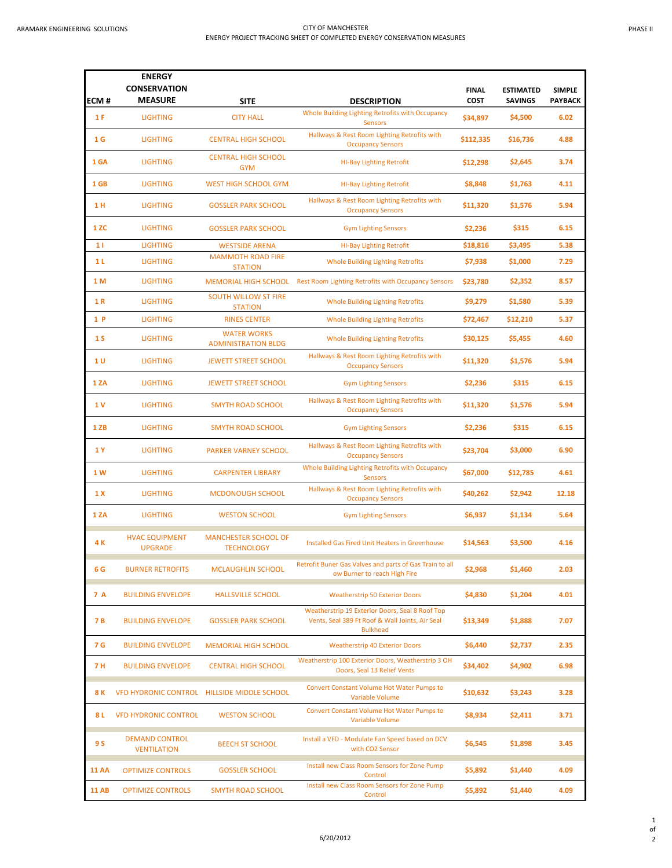|                | <b>ENERGY</b><br><b>CONSERVATION</b>        |                                                  |                                                                                                                       |                             |                                    |                                 |
|----------------|---------------------------------------------|--------------------------------------------------|-----------------------------------------------------------------------------------------------------------------------|-----------------------------|------------------------------------|---------------------------------|
| ECM#           | <b>MEASURE</b>                              | <b>SITE</b>                                      | <b>DESCRIPTION</b>                                                                                                    | <b>FINAL</b><br><b>COST</b> | <b>ESTIMATED</b><br><b>SAVINGS</b> | <b>SIMPLE</b><br><b>PAYBACK</b> |
| 1F             | <b>LIGHTING</b>                             | <b>CITY HALL</b>                                 | Whole Building Lighting Retrofits with Occupancy<br><b>Sensors</b>                                                    | \$34,897                    | \$4,500                            | 6.02                            |
| 1 <sub>G</sub> | <b>LIGHTING</b>                             | <b>CENTRAL HIGH SCHOOL</b>                       | Hallways & Rest Room Lighting Retrofits with<br><b>Occupancy Sensors</b>                                              | \$112,335                   | \$16,736                           | 4.88                            |
| 1 GA           | <b>LIGHTING</b>                             | <b>CENTRAL HIGH SCHOOL</b><br><b>GYM</b>         | <b>HI-Bay Lighting Retrofit</b>                                                                                       | \$12,298                    | \$2,645                            | 3.74                            |
| 1 GB           | <b>LIGHTING</b>                             | <b>WEST HIGH SCHOOL GYM</b>                      | <b>HI-Bay Lighting Retrofit</b>                                                                                       | \$8,848                     | \$1,763                            | 4.11                            |
| 1 H            | <b>LIGHTING</b>                             | <b>GOSSLER PARK SCHOOL</b>                       | Hallways & Rest Room Lighting Retrofits with<br><b>Occupancy Sensors</b>                                              | \$11,320                    | \$1,576                            | 5.94                            |
| 1 ZC           | <b>LIGHTING</b>                             | <b>GOSSLER PARK SCHOOL</b>                       | <b>Gym Lighting Sensors</b>                                                                                           | \$2,236                     | \$315                              | 6.15                            |
| 11             | <b>LIGHTING</b>                             | <b>WESTSIDE ARENA</b>                            | <b>HI-Bay Lighting Retrofit</b>                                                                                       | \$18,816                    | \$3,495                            | 5.38                            |
| 1 L            | <b>LIGHTING</b>                             | <b>MAMMOTH ROAD FIRE</b><br><b>STATION</b>       | <b>Whole Building Lighting Retrofits</b>                                                                              | \$7,938                     | \$1,000                            | 7.29                            |
| 1 M            | <b>LIGHTING</b>                             |                                                  | MEMORIAL HIGH SCHOOL Rest Room Lighting Retrofits with Occupancy Sensors                                              | \$23,780                    | \$2,352                            | 8.57                            |
| 1 R            | <b>LIGHTING</b>                             | <b>SOUTH WILLOW ST FIRE</b><br><b>STATION</b>    | <b>Whole Building Lighting Retrofits</b>                                                                              | \$9,279                     | \$1,580                            | 5.39                            |
| 1P             | <b>LIGHTING</b>                             | <b>RINES CENTER</b>                              | Whole Building Lighting Retrofits                                                                                     | \$72,467                    | \$12,210                           | 5.37                            |
| 1 <sub>S</sub> | <b>LIGHTING</b>                             | <b>WATER WORKS</b><br><b>ADMINISTRATION BLDG</b> | <b>Whole Building Lighting Retrofits</b>                                                                              | \$30,125                    | \$5,455                            | 4.60                            |
| 1 U            | <b>LIGHTING</b>                             | <b>JEWETT STREET SCHOOL</b>                      | Hallways & Rest Room Lighting Retrofits with<br><b>Occupancy Sensors</b>                                              | \$11,320                    | \$1,576                            | 5.94                            |
| <b>1ZA</b>     | <b>LIGHTING</b>                             | <b>JEWETT STREET SCHOOL</b>                      | <b>Gym Lighting Sensors</b>                                                                                           | \$2,236                     | \$315                              | 6.15                            |
| 1 V            | <b>LIGHTING</b>                             | <b>SMYTH ROAD SCHOOL</b>                         | Hallways & Rest Room Lighting Retrofits with<br><b>Occupancy Sensors</b>                                              | \$11,320                    | \$1,576                            | 5.94                            |
| 1 ZB           | <b>LIGHTING</b>                             | <b>SMYTH ROAD SCHOOL</b>                         | <b>Gym Lighting Sensors</b>                                                                                           | \$2,236                     | \$315                              | 6.15                            |
| 1Y             | <b>LIGHTING</b>                             | <b>PARKER VARNEY SCHOOL</b>                      | Hallways & Rest Room Lighting Retrofits with<br><b>Occupancy Sensors</b>                                              | \$23,704                    | \$3,000                            | 6.90                            |
| 1 W            | <b>LIGHTING</b>                             | <b>CARPENTER LIBRARY</b>                         | Whole Building Lighting Retrofits with Occupancy<br><b>Sensors</b>                                                    | \$67,000                    | \$12,785                           | 4.61                            |
| 1 X            | <b>LIGHTING</b>                             | <b>MCDONOUGH SCHOOL</b>                          | Hallways & Rest Room Lighting Retrofits with<br><b>Occupancy Sensors</b>                                              | \$40,262                    | \$2,942                            | 12.18                           |
| <b>1ZA</b>     | <b>LIGHTING</b>                             | <b>WESTON SCHOOL</b>                             | <b>Gym Lighting Sensors</b>                                                                                           | \$6,937                     | \$1,134                            | 5.64                            |
| 4 K            | <b>HVAC EQUIPMENT</b><br><b>UPGRADE</b>     | <b>MANCHESTER SCHOOL OF</b><br><b>TECHNOLOGY</b> | Installed Gas Fired Unit Heaters in Greenhouse                                                                        | \$14,563                    | \$3,500                            | 4.16                            |
| 6 G            | <b>BURNER RETROFITS</b>                     | <b>MCLAUGHLIN SCHOOL</b>                         | Retrofit Buner Gas Valves and parts of Gas Train to all<br>ow Burner to reach High Fire                               | \$2,968                     | \$1,460                            | 2.03                            |
| 7 A            | <b>BUILDING ENVELOPE</b>                    | <b>HALLSVILLE SCHOOL</b>                         | <b>Weatherstrip 50 Exterior Doors</b>                                                                                 | \$4,830                     | \$1,204                            | 4.01                            |
| 7 B            | <b>BUILDING ENVELOPE</b>                    | <b>GOSSLER PARK SCHOOL</b>                       | Weatherstrip 19 Exterior Doors, Seal 8 Roof Top<br>Vents, Seal 389 Ft Roof & Wall Joints, Air Seal<br><b>Bulkhead</b> | \$13,349                    | \$1,888                            | 7.07                            |
| 7 G            | <b>BUILDING ENVELOPE</b>                    | <b>MEMORIAL HIGH SCHOOL</b>                      | <b>Weatherstrip 40 Exterior Doors</b>                                                                                 | \$6,440                     | \$2,737                            | 2.35                            |
| 7 H            | <b>BUILDING ENVELOPE</b>                    | <b>CENTRAL HIGH SCHOOL</b>                       | Weatherstrip 100 Exterior Doors, Weatherstrip 3 OH<br>Doors, Seal 13 Relief Vents                                     | \$34,402                    | \$4,902                            | 6.98                            |
| 8 K            |                                             | VFD HYDRONIC CONTROL HILLSIDE MIDDLE SCHOOL      | Convert Constant Volume Hot Water Pumps to<br>Variable Volume                                                         | \$10,632                    | \$3,243                            | 3.28                            |
| 8 L            | <b>VFD HYDRONIC CONTROL</b>                 | <b>WESTON SCHOOL</b>                             | Convert Constant Volume Hot Water Pumps to<br>Variable Volume                                                         | \$8,934                     | \$2,411                            | 3.71                            |
| 9 S            | <b>DEMAND CONTROL</b><br><b>VENTILATION</b> | <b>BEECH ST SCHOOL</b>                           | Install a VFD - Modulate Fan Speed based on DCV<br>with CO2 Sensor                                                    | \$6,545                     | \$1,898                            | 3.45                            |
| <b>11 AA</b>   | <b>OPTIMIZE CONTROLS</b>                    | <b>GOSSLER SCHOOL</b>                            | Install new Class Room Sensors for Zone Pump<br>Control                                                               | \$5,892                     | \$1,440                            | 4.09                            |
| <b>11 AB</b>   | <b>OPTIMIZE CONTROLS</b>                    | <b>SMYTH ROAD SCHOOL</b>                         | Install new Class Room Sensors for Zone Pump<br>Control                                                               | \$5,892                     | \$1,440                            | 4.09                            |